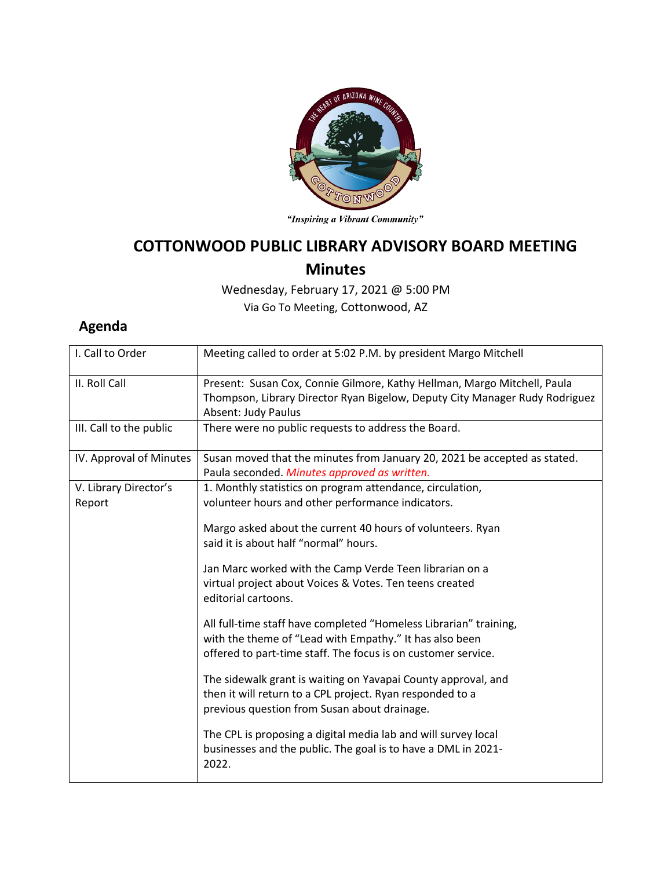

"Inspiring a Vibrant Community"

## **COTTONWOOD PUBLIC LIBRARY ADVISORY BOARD MEETING**

## **Minutes**

Wednesday, February 17, 2021 @ 5:00 PM Via Go To Meeting, Cottonwood, AZ

## **Agenda**

| I. Call to Order                | Meeting called to order at 5:02 P.M. by president Margo Mitchell                                                                                                                              |
|---------------------------------|-----------------------------------------------------------------------------------------------------------------------------------------------------------------------------------------------|
| II. Roll Call                   | Present: Susan Cox, Connie Gilmore, Kathy Hellman, Margo Mitchell, Paula<br>Thompson, Library Director Ryan Bigelow, Deputy City Manager Rudy Rodriguez<br>Absent: Judy Paulus                |
| III. Call to the public         | There were no public requests to address the Board.                                                                                                                                           |
| IV. Approval of Minutes         | Susan moved that the minutes from January 20, 2021 be accepted as stated.<br>Paula seconded. Minutes approved as written.                                                                     |
| V. Library Director's<br>Report | 1. Monthly statistics on program attendance, circulation,<br>volunteer hours and other performance indicators.                                                                                |
|                                 | Margo asked about the current 40 hours of volunteers. Ryan<br>said it is about half "normal" hours.                                                                                           |
|                                 | Jan Marc worked with the Camp Verde Teen librarian on a<br>virtual project about Voices & Votes. Ten teens created<br>editorial cartoons.                                                     |
|                                 | All full-time staff have completed "Homeless Librarian" training,<br>with the theme of "Lead with Empathy." It has also been<br>offered to part-time staff. The focus is on customer service. |
|                                 | The sidewalk grant is waiting on Yavapai County approval, and<br>then it will return to a CPL project. Ryan responded to a<br>previous question from Susan about drainage.                    |
|                                 | The CPL is proposing a digital media lab and will survey local<br>businesses and the public. The goal is to have a DML in 2021-<br>2022.                                                      |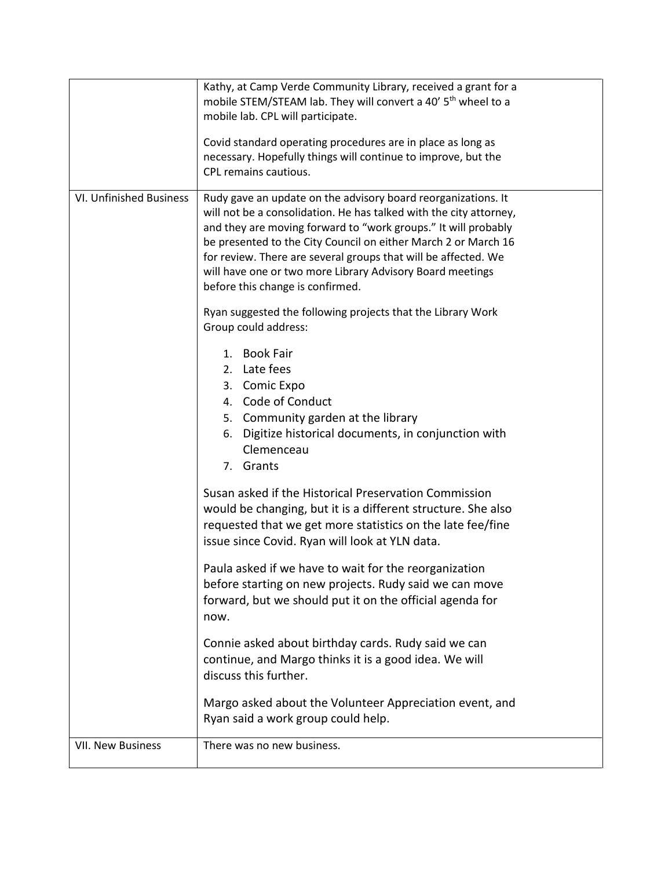|                         | Kathy, at Camp Verde Community Library, received a grant for a<br>mobile STEM/STEAM lab. They will convert a 40' 5 <sup>th</sup> wheel to a<br>mobile lab. CPL will participate.<br>Covid standard operating procedures are in place as long as<br>necessary. Hopefully things will continue to improve, but the                                                                                                                           |
|-------------------------|--------------------------------------------------------------------------------------------------------------------------------------------------------------------------------------------------------------------------------------------------------------------------------------------------------------------------------------------------------------------------------------------------------------------------------------------|
|                         | CPL remains cautious.                                                                                                                                                                                                                                                                                                                                                                                                                      |
| VI. Unfinished Business | Rudy gave an update on the advisory board reorganizations. It<br>will not be a consolidation. He has talked with the city attorney,<br>and they are moving forward to "work groups." It will probably<br>be presented to the City Council on either March 2 or March 16<br>for review. There are several groups that will be affected. We<br>will have one or two more Library Advisory Board meetings<br>before this change is confirmed. |
|                         | Ryan suggested the following projects that the Library Work<br>Group could address:                                                                                                                                                                                                                                                                                                                                                        |
|                         | 1. Book Fair<br>2. Late fees<br>3. Comic Expo<br>4. Code of Conduct<br>5. Community garden at the library<br>Digitize historical documents, in conjunction with<br>6.<br>Clemenceau<br>7. Grants                                                                                                                                                                                                                                           |
|                         | Susan asked if the Historical Preservation Commission<br>would be changing, but it is a different structure. She also<br>requested that we get more statistics on the late fee/fine<br>issue since Covid. Ryan will look at YLN data.                                                                                                                                                                                                      |
|                         | Paula asked if we have to wait for the reorganization<br>before starting on new projects. Rudy said we can move<br>forward, but we should put it on the official agenda for<br>now.                                                                                                                                                                                                                                                        |
|                         | Connie asked about birthday cards. Rudy said we can<br>continue, and Margo thinks it is a good idea. We will<br>discuss this further.                                                                                                                                                                                                                                                                                                      |
|                         | Margo asked about the Volunteer Appreciation event, and<br>Ryan said a work group could help.                                                                                                                                                                                                                                                                                                                                              |
| VII. New Business       | There was no new business.                                                                                                                                                                                                                                                                                                                                                                                                                 |